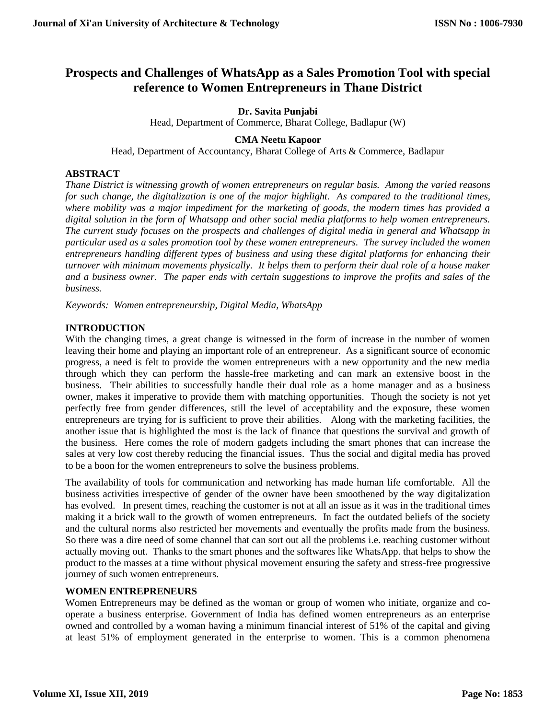# **Prospects and Challenges of WhatsApp as a Sales Promotion Tool with special reference to Women Entrepreneurs in Thane District**

#### **Dr. Savita Punjabi**

Head, Department of Commerce, Bharat College, Badlapur (W)

# **CMA Neetu Kapoor**

Head, Department of Accountancy, Bharat College of Arts & Commerce, Badlapur

# **ABSTRACT**

*Thane District is witnessing growth of women entrepreneurs on regular basis. Among the varied reasons for such change, the digitalization is one of the major highlight. As compared to the traditional times, where mobility was a major impediment for the marketing of goods, the modern times has provided a digital solution in the form of Whatsapp and other social media platforms to help women entrepreneurs. The current study focuses on the prospects and challenges of digital media in general and Whatsapp in particular used as a sales promotion tool by these women entrepreneurs. The survey included the women entrepreneurs handling different types of business and using these digital platforms for enhancing their turnover with minimum movements physically. It helps them to perform their dual role of a house maker and a business owner. The paper ends with certain suggestions to improve the profits and sales of the business.*

*Keywords: Women entrepreneurship, Digital Media, WhatsApp*

# **INTRODUCTION**

With the changing times, a great change is witnessed in the form of increase in the number of women leaving their home and playing an important role of an entrepreneur. As a significant source of economic progress, a need is felt to provide the women entrepreneurs with a new opportunity and the new media through which they can perform the hassle-free marketing and can mark an extensive boost in the business. Their abilities to successfully handle their dual role as a home manager and as a business owner, makes it imperative to provide them with matching opportunities. Though the society is not yet perfectly free from gender differences, still the level of acceptability and the exposure, these women entrepreneurs are trying for is sufficient to prove their abilities. Along with the marketing facilities, the another issue that is highlighted the most is the lack of finance that questions the survival and growth of the business. Here comes the role of modern gadgets including the smart phones that can increase the sales at very low cost thereby reducing the financial issues. Thus the social and digital media has proved to be a boon for the women entrepreneurs to solve the business problems.

The availability of tools for communication and networking has made human life comfortable. All the business activities irrespective of gender of the owner have been smoothened by the way digitalization has evolved. In present times, reaching the customer is not at all an issue as it was in the traditional times making it a brick wall to the growth of women entrepreneurs. In fact the outdated beliefs of the society and the cultural norms also restricted her movements and eventually the profits made from the business. So there was a dire need of some channel that can sort out all the problems i.e. reaching customer without actually moving out. Thanks to the smart phones and the softwares like WhatsApp. that helps to show the product to the masses at a time without physical movement ensuring the safety and stress-free progressive journey of such women entrepreneurs.

# **WOMEN ENTREPRENEURS**

Women Entrepreneurs may be defined as the woman or group of women who initiate, organize and cooperate a business enterprise. Government of India has defined women entrepreneurs as an enterprise owned and controlled by a woman having a minimum financial interest of 51% of the capital and giving at least 51% of employment generated in the enterprise to women. This is a common phenomena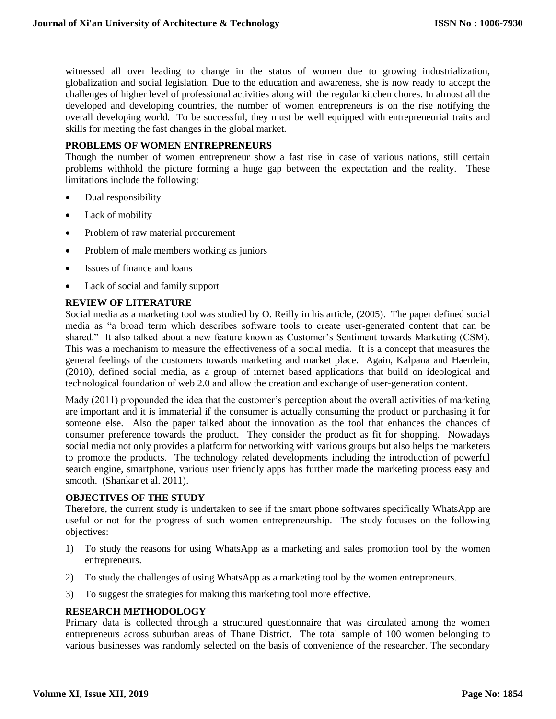witnessed all over leading to change in the status of women due to growing industrialization, globalization and social legislation. Due to the education and awareness, she is now ready to accept the challenges of higher level of professional activities along with the regular kitchen chores. In almost all the developed and developing countries, the number of women entrepreneurs is on the rise notifying the overall developing world. To be successful, they must be well equipped with entrepreneurial traits and skills for meeting the fast changes in the global market.

#### **PROBLEMS OF WOMEN ENTREPRENEURS**

Though the number of women entrepreneur show a fast rise in case of various nations, still certain problems withhold the picture forming a huge gap between the expectation and the reality. These limitations include the following:

- Dual responsibility
- Lack of mobility
- Problem of raw material procurement
- Problem of male members working as juniors
- Issues of finance and loans
- Lack of social and family support

# **REVIEW OF LITERATURE**

Social media as a marketing tool was studied by O. Reilly in his article, (2005). The paper defined social media as "a broad term which describes software tools to create user-generated content that can be shared." It also talked about a new feature known as Customer's Sentiment towards Marketing (CSM). This was a mechanism to measure the effectiveness of a social media. It is a concept that measures the general feelings of the customers towards marketing and market place. Again, Kalpana and Haenlein, (2010), defined social media, as a group of internet based applications that build on ideological and technological foundation of web 2.0 and allow the creation and exchange of user-generation content.

Mady (2011) propounded the idea that the customer's perception about the overall activities of marketing are important and it is immaterial if the consumer is actually consuming the product or purchasing it for someone else. Also the paper talked about the innovation as the tool that enhances the chances of consumer preference towards the product. They consider the product as fit for shopping. Nowadays social media not only provides a platform for networking with various groups but also helps the marketers to promote the products. The technology related developments including the introduction of powerful search engine, smartphone, various user friendly apps has further made the marketing process easy and smooth. (Shankar et al. 2011).

#### **OBJECTIVES OF THE STUDY**

Therefore, the current study is undertaken to see if the smart phone softwares specifically WhatsApp are useful or not for the progress of such women entrepreneurship. The study focuses on the following objectives:

- 1) To study the reasons for using WhatsApp as a marketing and sales promotion tool by the women entrepreneurs.
- 2) To study the challenges of using WhatsApp as a marketing tool by the women entrepreneurs.
- 3) To suggest the strategies for making this marketing tool more effective.

# **RESEARCH METHODOLOGY**

Primary data is collected through a structured questionnaire that was circulated among the women entrepreneurs across suburban areas of Thane District. The total sample of 100 women belonging to various businesses was randomly selected on the basis of convenience of the researcher. The secondary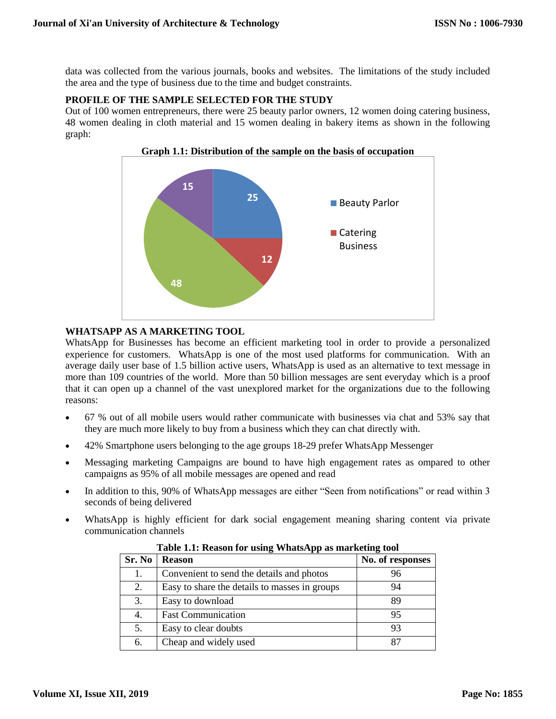data was collected from the various journals, books and websites. The limitations of the study included the area and the type of business due to the time and budget constraints.

# **PROFILE OF THE SAMPLE SELECTED FOR THE STUDY**

Out of 100 women entrepreneurs, there were 25 beauty parlor owners, 12 women doing catering business, 48 women dealing in cloth material and 15 women dealing in bakery items as shown in the following graph:



#### **Graph 1.1: Distribution of the sample on the basis of occupation**

# **WHATSAPP AS A MARKETING TOOL**

WhatsApp for Businesses has become an efficient marketing tool in order to provide a personalized experience for customers. WhatsApp is one of the most used platforms for communication. With an average daily user base of 1.5 billion active users, WhatsApp is used as an alternative to text message in more than 109 countries of the world. More than 50 billion messages are sent everyday which is a proof that it can open up a channel of the vast unexplored market for the organizations due to the following reasons:

- 67 % out of all mobile users would rather communicate with businesses via chat and 53% say that they are much more likely to buy from a business which they can chat directly with.
- 42% Smartphone users belonging to the age groups 18-29 prefer WhatsApp Messenger
- Messaging marketing Campaigns are bound to have high engagement rates as ompared to other campaigns as 95% of all mobile messages are opened and read
- In addition to this, 90% of WhatsApp messages are either "Seen from notifications" or read within 3 seconds of being delivered
- WhatsApp is highly efficient for dark social engagement meaning sharing content via private communication channels

| Table 1.1. Intasult ful using WhatsApp as marketing tool |                                               |                  |  |
|----------------------------------------------------------|-----------------------------------------------|------------------|--|
| Sr. No                                                   | <b>Reason</b>                                 | No. of responses |  |
| 1.                                                       | Convenient to send the details and photos     | 96               |  |
| 2.                                                       | Easy to share the details to masses in groups | 94               |  |
| 3.                                                       | Easy to download                              | 89               |  |
| 4.                                                       | <b>Fast Communication</b>                     | 95               |  |
| 5.                                                       | Easy to clear doubts                          | 93               |  |
| 6.                                                       | Cheap and widely used                         | 87               |  |

**Table 1.1: Reason for using WhatsApp as marketing tool**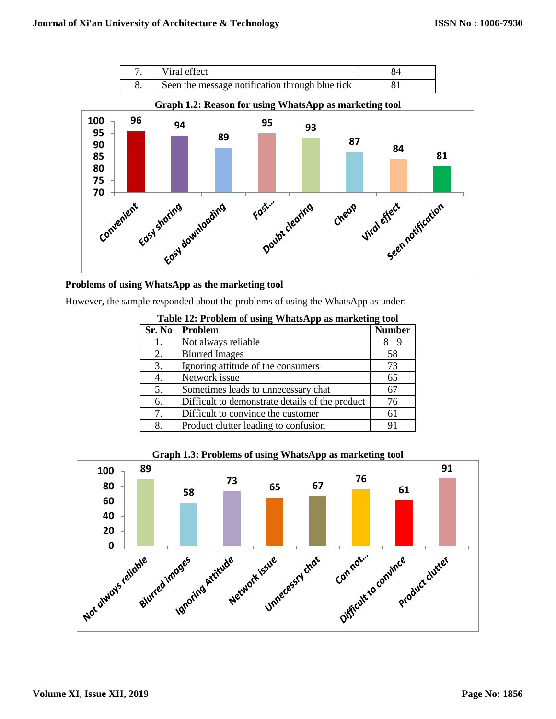



#### **Problems of using WhatsApp as the marketing tool**

However, the sample responded about the problems of using the WhatsApp as under:

| <b>Table 12. I Fobiem of using vvilatsApp as marketing tool</b> |                                                 |               |  |
|-----------------------------------------------------------------|-------------------------------------------------|---------------|--|
| Sr. No                                                          | Problem                                         | <b>Number</b> |  |
| 1.                                                              | Not always reliable                             |               |  |
| 2.                                                              | <b>Blurred Images</b>                           | 58            |  |
| 3.                                                              | Ignoring attitude of the consumers              | 73            |  |
| 4.                                                              | Network issue                                   | 65            |  |
| 5.                                                              | Sometimes leads to unnecessary chat             | 67            |  |
| 6.                                                              | Difficult to demonstrate details of the product | 76            |  |
| 7.                                                              | Difficult to convince the customer              | 61            |  |
| 8.                                                              | Product clutter leading to confusion            | 91            |  |

**Table 12: Problem of using WhatsApp as marketing tool**



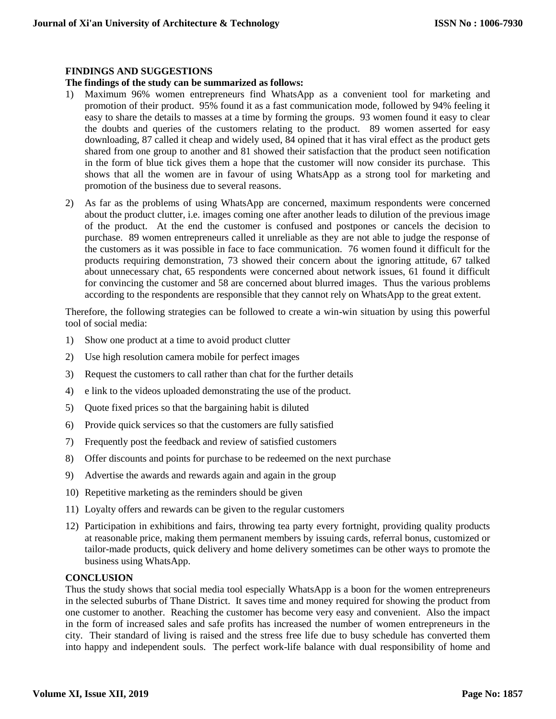# **FINDINGS AND SUGGESTIONS**

# **The findings of the study can be summarized as follows:**

- 1) Maximum 96% women entrepreneurs find WhatsApp as a convenient tool for marketing and promotion of their product. 95% found it as a fast communication mode, followed by 94% feeling it easy to share the details to masses at a time by forming the groups. 93 women found it easy to clear the doubts and queries of the customers relating to the product. 89 women asserted for easy downloading, 87 called it cheap and widely used, 84 opined that it has viral effect as the product gets shared from one group to another and 81 showed their satisfaction that the product seen notification in the form of blue tick gives them a hope that the customer will now consider its purchase. This shows that all the women are in favour of using WhatsApp as a strong tool for marketing and promotion of the business due to several reasons.
- 2) As far as the problems of using WhatsApp are concerned, maximum respondents were concerned about the product clutter, i.e. images coming one after another leads to dilution of the previous image of the product. At the end the customer is confused and postpones or cancels the decision to purchase. 89 women entrepreneurs called it unreliable as they are not able to judge the response of the customers as it was possible in face to face communication. 76 women found it difficult for the products requiring demonstration, 73 showed their concern about the ignoring attitude, 67 talked about unnecessary chat, 65 respondents were concerned about network issues, 61 found it difficult for convincing the customer and 58 are concerned about blurred images. Thus the various problems according to the respondents are responsible that they cannot rely on WhatsApp to the great extent.

Therefore, the following strategies can be followed to create a win-win situation by using this powerful tool of social media:

- 1) Show one product at a time to avoid product clutter
- 2) Use high resolution camera mobile for perfect images
- 3) Request the customers to call rather than chat for the further details
- 4) e link to the videos uploaded demonstrating the use of the product.
- 5) Quote fixed prices so that the bargaining habit is diluted
- 6) Provide quick services so that the customers are fully satisfied
- 7) Frequently post the feedback and review of satisfied customers
- 8) Offer discounts and points for purchase to be redeemed on the next purchase
- 9) Advertise the awards and rewards again and again in the group
- 10) Repetitive marketing as the reminders should be given
- 11) Loyalty offers and rewards can be given to the regular customers
- 12) Participation in exhibitions and fairs, throwing tea party every fortnight, providing quality products at reasonable price, making them permanent members by issuing cards, referral bonus, customized or tailor-made products, quick delivery and home delivery sometimes can be other ways to promote the business using WhatsApp.

#### **CONCLUSION**

Thus the study shows that social media tool especially WhatsApp is a boon for the women entrepreneurs in the selected suburbs of Thane District. It saves time and money required for showing the product from one customer to another. Reaching the customer has become very easy and convenient. Also the impact in the form of increased sales and safe profits has increased the number of women entrepreneurs in the city. Their standard of living is raised and the stress free life due to busy schedule has converted them into happy and independent souls. The perfect work-life balance with dual responsibility of home and